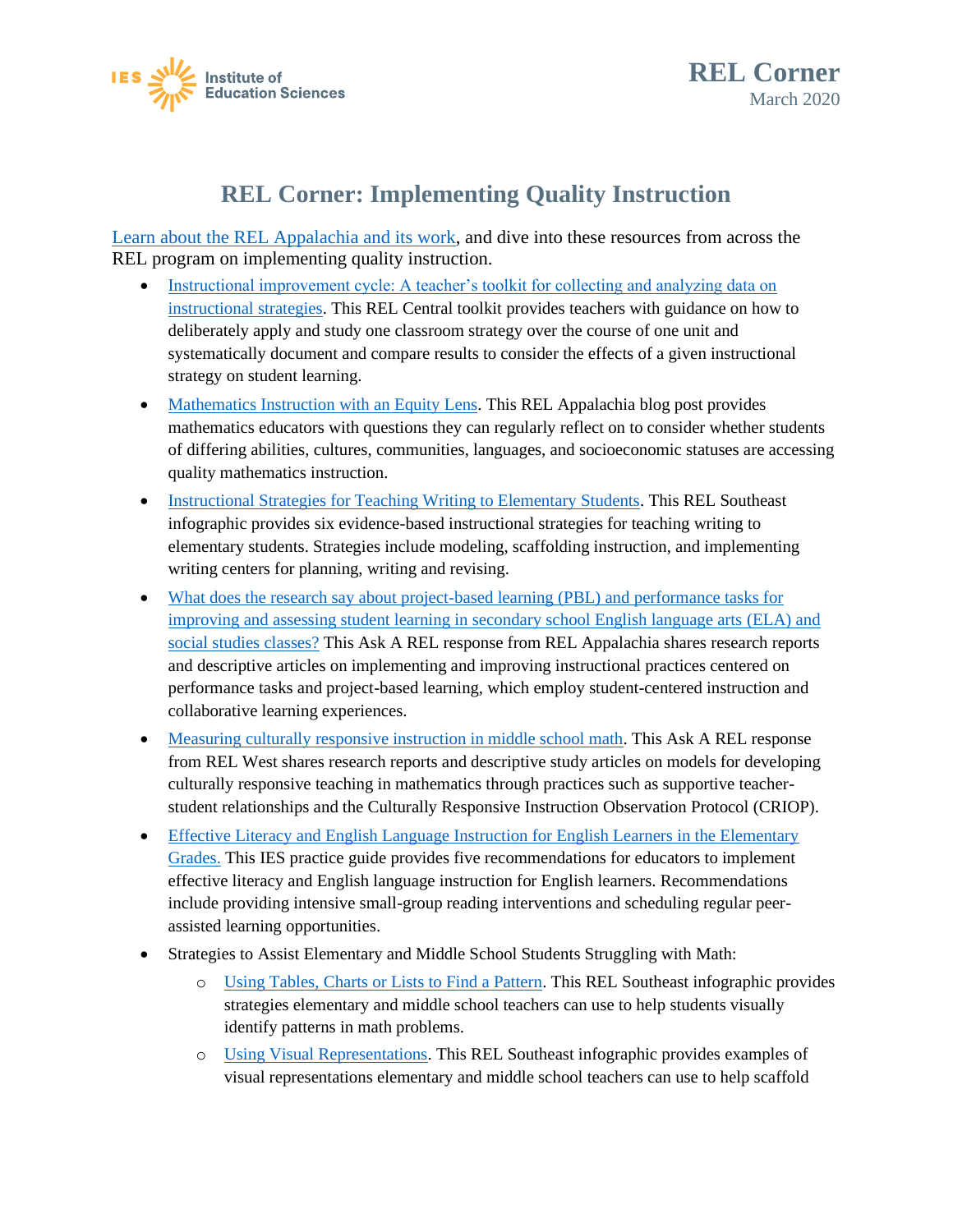



## **REL Corner: Implementing Quality Instruction**

[Learn about the REL Appalachia and its work,](https://ies.ed.gov/ncee/edlabs/regions/appalachia/) and dive into these resources from across the REL program on implementing quality instruction.

- Instructional improvement cycle: A teacher's toolkit [for collecting and analyzing data on](https://ies.ed.gov/ncee/edlabs/projects/project.asp?projectID=4473) [instructional strategies.](https://ies.ed.gov/ncee/edlabs/projects/project.asp?projectID=4473) This REL Central toolkit provides teachers with guidance on how to deliberately apply and study one classroom strategy over the course of one unit and systematically document and compare results to consider the effects of a given instructional strategy on student learning.
- [Mathematics Instruction with an Equity Lens.](https://ies.ed.gov/ncee/edlabs/regions/appalachia/blogs/blog24-math-instruction-with-equity-lens.asp) This REL Appalachia blog post provides mathematics educators with questions they can regularly reflect on to consider whether students of differing abilities, cultures, communities, languages, and socioeconomic statuses are accessing quality mathematics instruction.
- [Instructional Strategies for Teaching Writing to Elementary Students.](https://ies.ed.gov/ncee/edlabs/infographics/pdf/REL_SE_Instructional_Strategies_for_Teaching_Writing_to_Elementary_Students.pdf) This REL Southeast infographic provides six evidence-based instructional strategies for teaching writing to elementary students. Strategies include modeling, scaffolding instruction, and implementing writing centers for planning, writing and revising.
- [social studies classes?](https://ies.ed.gov/ncee/edlabs/regions/appalachia/askarel/aar23.asp) This Ask A REL response from REL Appalachia shares research reports • [What does the research say about project-based learning \(PBL\) and performance tasks for](https://ies.ed.gov/ncee/edlabs/regions/appalachia/askarel/aar23.asp) [improving and assessing student learning in secondary school English language arts \(ELA\) and](https://ies.ed.gov/ncee/edlabs/regions/appalachia/askarel/aar23.asp) and descriptive articles on implementing and improving instructional practices centered on performance tasks and project-based learning, which employ student-centered instruction and collaborative learning experiences.
- [Measuring culturally responsive instruction in middle school math.](https://ies.ed.gov/ncee/edlabs/regions/west/Ask/Details/96) This Ask A REL response from REL West shares research reports and descriptive study articles on models for developing culturally responsive teaching in mathematics through practices such as supportive teacherstudent relationships and the Culturally Responsive Instruction Observation Protocol (CRIOP).
- [Effective Literacy and English Language Instruction for English Learners in the Elementary](https://ies.ed.gov/ncee/wwc/practiceguide/6) [Grades.](https://ies.ed.gov/ncee/wwc/practiceguide/6) This IES practice guide provides five recommendations for educators to implement effective literacy and English language instruction for English learners. Recommendations include providing intensive small-group reading interventions and scheduling regular peerassisted learning opportunities.
- Strategies to Assist Elementary and Middle School Students Struggling with Math:
	- o [Using Tables, Charts or Lists to Find a Pattern.](https://ies.ed.gov/ncee/edlabs/infographics/pdf/REL_SE_Using_Tables_Charts_or_Lists_to_Find_a_Pattern.pdf) This REL Southeast infographic provides strategies elementary and middle school teachers can use to help students visually identify patterns in math problems.
	- o [Using Visual Representations.](https://ies.ed.gov/ncee/edlabs/infographics/pdf/REL_SE_Using_Visual_Representations.pdf) This REL Southeast infographic provides examples of visual representations elementary and middle school teachers can use to help scaffold